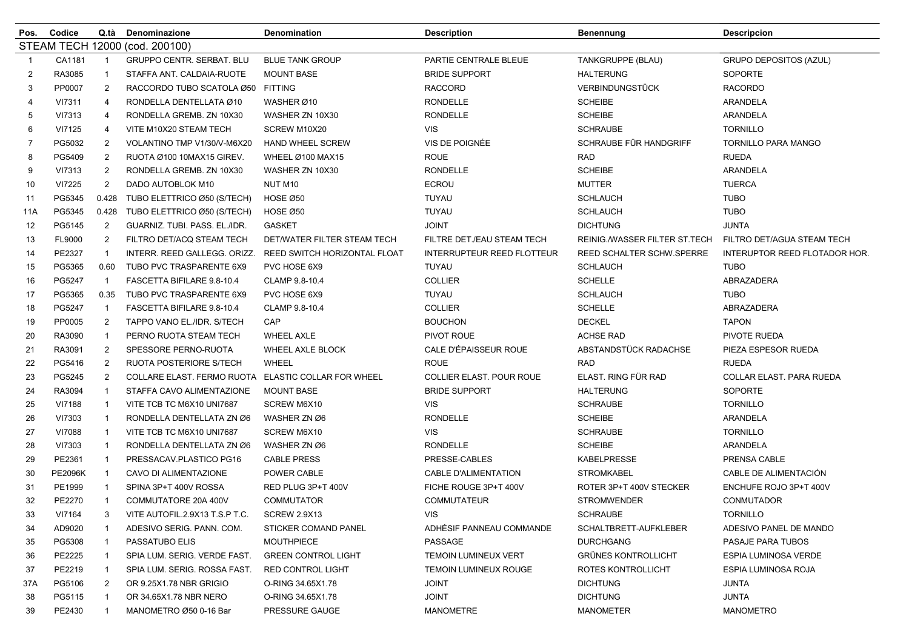| Pos.           | Codice            | Q.tà           | Denominazione                     | Denomination                    | Description                       | <b>Benennung</b>              | <b>Descripcion</b>            |
|----------------|-------------------|----------------|-----------------------------------|---------------------------------|-----------------------------------|-------------------------------|-------------------------------|
|                | <b>STEAM TECH</b> |                | 12000 (cod. 200100)               |                                 |                                   |                               |                               |
| -1             | CA1181            | $\mathbf{1}$   | <b>GRUPPO CENTR. SERBAT. BLU</b>  | <b>BLUE TANK GROUP</b>          | PARTIE CENTRALE BLEUE             | TANKGRUPPE (BLAU)             | <b>GRUPO DEPOSITOS (AZUL)</b> |
| 2              | RA3085            | -1             | STAFFA ANT. CALDAIA-RUOTE         | <b>MOUNT BASE</b>               | <b>BRIDE SUPPORT</b>              | <b>HALTERUNG</b>              | <b>SOPORTE</b>                |
| 3              | PP0007            | $\overline{2}$ | RACCORDO TUBO SCATOLA Ø50 FITTING |                                 | <b>RACCORD</b>                    | <b>VERBINDUNGSTÜCK</b>        | <b>RACORDO</b>                |
| 4              | VI7311            | $\overline{4}$ | RONDELLA DENTELLATA Ø10           | WASHER Ø10                      | <b>RONDELLE</b>                   | <b>SCHEIBE</b>                | ARANDELA                      |
| 5              | VI7313            | $\overline{4}$ | RONDELLA GREMB. ZN 10X30          | WASHER ZN 10X30                 | <b>RONDELLE</b>                   | <b>SCHEIBE</b>                | ARANDELA                      |
| 6              | VI7125            | $\overline{4}$ | VITE M10X20 STEAM TECH            | SCREW M10X20                    | <b>VIS</b>                        | <b>SCHRAUBE</b>               | <b>TORNILLO</b>               |
| $\overline{7}$ | PG5032            | $\overline{2}$ | VOLANTINO TMP V1/30/V-M6X20       | <b>HAND WHEEL SCREW</b>         | VIS DE POIGNÉE                    | SCHRAUBE FÜR HANDGRIFF        | <b>TORNILLO PARA MANGO</b>    |
| 8              | PG5409            | $\overline{2}$ | RUOTA Ø100 10MAX15 GIREV.         | WHEEL Ø100 MAX15                | <b>ROUE</b>                       | <b>RAD</b>                    | <b>RUEDA</b>                  |
| 9              | VI7313            | $\overline{2}$ | RONDELLA GREMB. ZN 10X30          | WASHER ZN 10X30                 | <b>RONDELLE</b>                   | <b>SCHEIBE</b>                | <b>ARANDELA</b>               |
| 10             | VI7225            | $\overline{2}$ | DADO AUTOBLOK M10                 | NUT M <sub>10</sub>             | <b>ECROU</b>                      | <b>MUTTER</b>                 | <b>TUERCA</b>                 |
| 11             | PG5345            | 0.428          | TUBO ELETTRICO Ø50 (S/TECH)       | <b>HOSE Ø50</b>                 | TUYAU                             | <b>SCHLAUCH</b>               | <b>TUBO</b>                   |
| 11A            | PG5345            | 0.428          | TUBO ELETTRICO Ø50 (S/TECH)       | HOSE Ø50                        | TUYAU                             | <b>SCHLAUCH</b>               | <b>TUBO</b>                   |
| 12             | PG5145            | $\overline{2}$ | GUARNIZ. TUBI. PASS. EL./IDR.     | <b>GASKET</b>                   | <b>JOINT</b>                      | <b>DICHTUNG</b>               | <b>JUNTA</b>                  |
| 13             | FL9000            | $\overline{2}$ | FILTRO DET/ACQ STEAM TECH         | DET/WATER FILTER STEAM TECH     | FILTRE DET./EAU STEAM TECH        | REINIG./WASSER FILTER ST.TECH | FILTRO DET/AGUA STEAM TECH    |
| 14             | PE2327            | $\overline{1}$ | INTERR. REED GALLEGG. ORIZZ.      | REED SWITCH HORIZONTAL FLOAT    | <b>INTERRUPTEUR REED FLOTTEUR</b> | REED SCHALTER SCHW.SPERRE     | INTERUPTOR REED FLOTADOR HOR. |
| 15             | PG5365            | 0.60           | TUBO PVC TRASPARENTE 6X9          | PVC HOSE 6X9                    | TUYAU                             | <b>SCHLAUCH</b>               | <b>TUBO</b>                   |
| 16             | PG5247            | $\overline{1}$ | FASCETTA BIFILARE 9.8-10.4        | CLAMP 9.8-10.4                  | <b>COLLIER</b>                    | <b>SCHELLE</b>                | ABRAZADERA                    |
| 17             | PG5365            | 0.35           | TUBO PVC TRASPARENTE 6X9          | PVC HOSE 6X9                    | TUYAU                             | <b>SCHLAUCH</b>               | <b>TUBO</b>                   |
| 18             | PG5247            | $\overline{1}$ | FASCETTA BIFILARE 9.8-10.4        | CLAMP 9.8-10.4                  | <b>COLLIER</b>                    | <b>SCHELLE</b>                | ABRAZADERA                    |
| 19             | PP0005            | 2              | TAPPO VANO EL./IDR. S/TECH        | CAP                             | <b>BOUCHON</b>                    | <b>DECKEL</b>                 | <b>TAPON</b>                  |
| 20             | RA3090            | $\overline{1}$ | PERNO RUOTA STEAM TECH            | <b>WHEEL AXLE</b>               | PIVOT ROUE                        | <b>ACHSE RAD</b>              | PIVOTE RUEDA                  |
| 21             | RA3091            | $\overline{2}$ | SPESSORE PERNO-RUOTA              | WHEEL AXLE BLOCK                | CALE D'ÉPAISSEUR ROUE             | ABSTANDSTÜCK RADACHSE         | PIEZA ESPESOR RUEDA           |
| 22             | PG5416            | $\overline{2}$ | RUOTA POSTERIORE S/TECH           | WHEEL                           | <b>ROUE</b>                       | <b>RAD</b>                    | <b>RUEDA</b>                  |
| 23             | PG5245            | $\overline{2}$ | COLLARE ELAST. FERMO RUOTA        | <b>ELASTIC COLLAR FOR WHEEL</b> | COLLIER ELAST. POUR ROUE          | ELAST. RING FÜR RAD           | COLLAR ELAST. PARA RUEDA      |
| 24             | RA3094            | -1             | STAFFA CAVO ALIMENTAZIONE         | <b>MOUNT BASE</b>               | <b>BRIDE SUPPORT</b>              | <b>HALTERUNG</b>              | <b>SOPORTE</b>                |
| 25             | <b>VI7188</b>     | $\mathbf{1}$   | VITE TCB TC M6X10 UNI7687         | SCREW M6X10                     | <b>VIS</b>                        | <b>SCHRAUBE</b>               | <b>TORNILLO</b>               |
| 26             | VI7303            | -1             | RONDELLA DENTELLATA ZN Ø6         | WASHER ZN Ø6                    | <b>RONDELLE</b>                   | <b>SCHEIBE</b>                | ARANDELA                      |
| 27             | VI7088            | -1             | VITE TCB TC M6X10 UNI7687         | SCREW M6X10                     | <b>VIS</b>                        | <b>SCHRAUBE</b>               | <b>TORNILLO</b>               |
| 28             | VI7303            | -1             | RONDELLA DENTELLATA ZN Ø6         | WASHER ZN Ø6                    | <b>RONDELLE</b>                   | <b>SCHEIBE</b>                | <b>ARANDELA</b>               |
| 29             | PE2361            | -1             | PRESSACAV.PLASTICO PG16           | <b>CABLE PRESS</b>              | PRESSE-CABLES                     | <b>KABELPRESSE</b>            | PRENSA CABLE                  |
| 30             | <b>PE2096K</b>    | -1             | CAVO DI ALIMENTAZIONE             | POWER CABLE                     | <b>CABLE D'ALIMENTATION</b>       | <b>STROMKABEL</b>             | CABLE DE ALIMENTACIÓN         |
| 31             | PE1999            | -1             | SPINA 3P+T 400V ROSSA             | RED PLUG 3P+T 400V              | FICHE ROUGE 3P+T 400V             | ROTER 3P+T 400V STECKER       | ENCHUFE ROJO 3P+T 400V        |
| 32             | PE2270            | -1             | COMMUTATORE 20A 400V              | <b>COMMUTATOR</b>               | <b>COMMUTATEUR</b>                | <b>STROMWENDER</b>            | CONMUTADOR                    |
| 33             | VI7164            | 3              | VITE AUTOFIL.2.9X13 T.S.P T.C.    | <b>SCREW 2.9X13</b>             | <b>VIS</b>                        | <b>SCHRAUBE</b>               | <b>TORNILLO</b>               |
| 34             | AD9020            |                | ADESIVO SERIG. PANN. COM.         | STICKER COMAND PANEL            | ADHÉSIF PANNEAU COMMANDE          | SCHALTBRETT-AUFKLEBER         | ADESIVO PANEL DE MANDO        |
| 35             | PG5308            | $\mathbf 1$    | PASSATUBO ELIS                    | <b>MOUTHPIECE</b>               | PASSAGE                           | <b>DURCHGANG</b>              | PASAJE PARA TUBOS             |
| 36             | PE2225            | -1             | SPIA LUM. SERIG. VERDE FAST.      | <b>GREEN CONTROL LIGHT</b>      | TEMOIN LUMINEUX VERT              | <b>GRÜNES KONTROLLICHT</b>    | <b>ESPIA LUMINOSA VERDE</b>   |
| 37             | PE2219            | -1             | SPIA LUM. SERIG. ROSSA FAST.      | <b>RED CONTROL LIGHT</b>        | <b>TEMOIN LUMINEUX ROUGE</b>      | ROTES KONTROLLICHT            | ESPIA LUMINOSA ROJA           |
| 37A            | PG5106            | $\overline{2}$ | OR 9.25X1.78 NBR GRIGIO           | O-RING 34.65X1.78               | <b>JOINT</b>                      | <b>DICHTUNG</b>               | <b>JUNTA</b>                  |
| 38             | PG5115            | -1             | OR 34.65X1.78 NBR NERO            | O-RING 34.65X1.78               | <b>JOINT</b>                      | <b>DICHTUNG</b>               | <b>JUNTA</b>                  |
| 39             | PE2430            | -1             | MANOMETRO Ø50 0-16 Bar            | PRESSURE GAUGE                  | MANOMETRE                         | MANOMETER                     | <b>MANOMETRO</b>              |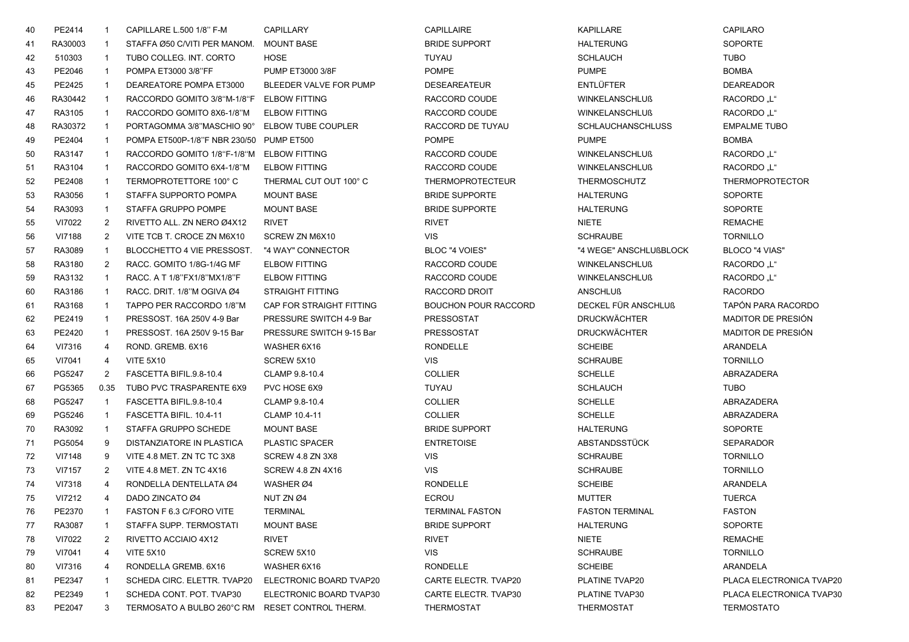| 40 | PE2414  | $\mathbf{1}$   | CAPILLARE L.500 1/8" F-M                        | <b>CAPILLARY</b>          | <b>CAPILLAIRE</b>           | <b>KAPILLARE</b>         | <b>CAPILARO</b>          |
|----|---------|----------------|-------------------------------------------------|---------------------------|-----------------------------|--------------------------|--------------------------|
| 41 | RA30003 | $\overline{1}$ | STAFFA Ø50 C/VITI PER MANOM.                    | <b>MOUNT BASE</b>         | <b>BRIDE SUPPORT</b>        | <b>HALTERUNG</b>         | <b>SOPORTE</b>           |
| 42 | 510303  | $\mathbf{1}$   | TUBO COLLEG. INT. CORTO                         | HOSE                      | TUYAU                       | <b>SCHLAUCH</b>          | <b>TUBO</b>              |
| 43 | PE2046  | $\overline{1}$ | POMPA ET3000 3/8"FF                             | PUMP ET3000 3/8F          | <b>POMPE</b>                | <b>PUMPE</b>             | <b>BOMBA</b>             |
| 45 | PE2425  | $\overline{1}$ | DEAREATORE POMPA ET3000                         | BLEEDER VALVE FOR PUMP    | <b>DESEAREATEUR</b>         | <b>ENTLÜFTER</b>         | <b>DEAREADOR</b>         |
| 46 | RA30442 | $\overline{1}$ | RACCORDO GOMITO 3/8"M-1/8"F                     | <b>ELBOW FITTING</b>      | RACCORD COUDE               | <b>WINKELANSCHLUß</b>    | RACORDO "L"              |
| 47 | RA3105  | $\overline{1}$ | RACCORDO GOMITO 8X6-1/8"M                       | <b>ELBOW FITTING</b>      | RACCORD COUDE               | <b>WINKELANSCHLUß</b>    | RACORDO "L"              |
| 48 | RA30372 | $\mathbf{1}$   | PORTAGOMMA 3/8"MASCHIO 90°                      | <b>ELBOW TUBE COUPLER</b> | RACCORD DE TUYAU            | <b>SCHLAUCHANSCHLUSS</b> | <b>EMPALME TUBO</b>      |
| 49 | PE2404  | $\mathbf{1}$   | POMPA ET500P-1/8"F NBR 230/50 PUMP ET500        |                           | <b>POMPE</b>                | <b>PUMPE</b>             | <b>BOMBA</b>             |
| 50 | RA3147  | $\mathbf{1}$   | RACCORDO GOMITO 1/8"F-1/8"M ELBOW FITTING       |                           | RACCORD COUDE               | <b>WINKELANSCHLUß</b>    | RACORDO "L"              |
| 51 | RA3104  | $\overline{1}$ | RACCORDO GOMITO 6X4-1/8"M                       | <b>ELBOW FITTING</b>      | RACCORD COUDE               | <b>WINKELANSCHLUß</b>    | RACORDO "L"              |
| 52 | PE2408  | $\mathbf{1}$   | TERMOPROTETTORE 100°C                           | THERMAL CUT OUT 100° C    | <b>THERMOPROTECTEUR</b>     | <b>THERMOSCHUTZ</b>      | <b>THERMOPROTECTOR</b>   |
| 53 | RA3056  | $\mathbf{1}$   | STAFFA SUPPORTO POMPA                           | <b>MOUNT BASE</b>         | <b>BRIDE SUPPORTE</b>       | <b>HALTERUNG</b>         | <b>SOPORTE</b>           |
| 54 | RA3093  | $\mathbf{1}$   | STAFFA GRUPPO POMPE                             | <b>MOUNT BASE</b>         | <b>BRIDE SUPPORTE</b>       | <b>HALTERUNG</b>         | <b>SOPORTE</b>           |
| 55 | VI7022  | $\overline{2}$ | RIVETTO ALL. ZN NERO Ø4X12                      | <b>RIVET</b>              | <b>RIVET</b>                | <b>NIETE</b>             | REMACHE                  |
| 56 | VI7188  | $\overline{2}$ | VITE TCB T. CROCE ZN M6X10                      | SCREW ZN M6X10            | <b>VIS</b>                  | <b>SCHRAUBE</b>          | <b>TORNILLO</b>          |
| 57 | RA3089  | $\overline{1}$ | BLOCCHETTO 4 VIE PRESSOST.                      | "4 WAY" CONNECTOR         | <b>BLOC "4 VOIES"</b>       | "4 WEGE" ANSCHLUßBLOCK   | <b>BLOCO "4 VIAS"</b>    |
| 58 | RA3180  | $\overline{2}$ | RACC. GOMITO 1/8G-1/4G MF                       | <b>ELBOW FITTING</b>      | RACCORD COUDE               | <b>WINKELANSCHLUß</b>    | RACORDO "L"              |
| 59 | RA3132  | $\mathbf{1}$   | RACC. A T 1/8"FX1/8"MX1/8"F                     | <b>ELBOW FITTING</b>      | RACCORD COUDE               | <b>WINKELANSCHLUß</b>    | <b>RACORDO</b> "L"       |
| 60 | RA3186  | $\overline{1}$ | RACC, DRIT, 1/8"M OGIVA Ø4                      | <b>STRAIGHT FITTING</b>   | RACCORD DROIT               | <b>ANSCHLUß</b>          | <b>RACORDO</b>           |
| 61 | RA3168  | $\mathbf{1}$   | TAPPO PER RACCORDO 1/8"M                        | CAP FOR STRAIGHT FITTING  | <b>BOUCHON POUR RACCORD</b> | DECKEL FÜR ANSCHLUß      | TAPÓN PARA RACORDO       |
| 62 | PE2419  | $\mathbf{1}$   | PRESSOST, 16A 250V 4-9 Bar                      | PRESSURE SWITCH 4-9 Bar   | <b>PRESSOSTAT</b>           | <b>DRUCKWÄCHTER</b>      | MADITOR DE PRESIÓN       |
| 63 | PE2420  | $\mathbf{1}$   | PRESSOST. 16A 250V 9-15 Bar                     | PRESSURE SWITCH 9-15 Bar  | PRESSOSTAT                  | <b>DRUCKWÄCHTER</b>      | MADITOR DE PRESIÓN       |
| 64 | VI7316  | 4              | ROND. GREMB. 6X16                               | WASHER 6X16               | <b>RONDELLE</b>             | <b>SCHEIBE</b>           | ARANDELA                 |
| 65 | VI7041  | 4              | <b>VITE 5X10</b>                                | SCREW 5X10                | VIS.                        | <b>SCHRAUBE</b>          | <b>TORNILLO</b>          |
| 66 | PG5247  | 2              | FASCETTA BIFIL.9.8-10.4                         | CLAMP 9.8-10.4            | <b>COLLIER</b>              | <b>SCHELLE</b>           | ABRAZADERA               |
| 67 | PG5365  | 0.35           | TUBO PVC TRASPARENTE 6X9                        | PVC HOSE 6X9              | TUYAU                       | <b>SCHLAUCH</b>          | TUBO                     |
| 68 | PG5247  | $\mathbf{1}$   | FASCETTA BIFIL.9.8-10.4                         | CLAMP 9.8-10.4            | <b>COLLIER</b>              | <b>SCHELLE</b>           | ABRAZADERA               |
| 69 | PG5246  | $\mathbf{1}$   | FASCETTA BIFIL. 10.4-11                         | CLAMP 10.4-11             | <b>COLLIER</b>              | <b>SCHELLE</b>           | ABRAZADERA               |
| 70 | RA3092  | $\mathbf{1}$   | STAFFA GRUPPO SCHEDE                            | <b>MOUNT BASE</b>         | <b>BRIDE SUPPORT</b>        | <b>HALTERUNG</b>         | <b>SOPORTE</b>           |
| 71 | PG5054  | 9              | DISTANZIATORE IN PLASTICA                       | <b>PLASTIC SPACER</b>     | <b>ENTRETOISE</b>           | ABSTANDSSTÜCK            | <b>SEPARADOR</b>         |
| 72 | VI7148  | 9              | VITE 4.8 MET. ZN TC TC 3X8                      | SCREW 4.8 ZN 3X8          | <b>VIS</b>                  | <b>SCHRAUBE</b>          | <b>TORNILLO</b>          |
| 73 | VI7157  | $\overline{2}$ | VITE 4.8 MET. ZN TC 4X16                        | <b>SCREW 4.8 ZN 4X16</b>  | <b>VIS</b>                  | <b>SCHRAUBE</b>          | <b>TORNILLO</b>          |
| 74 | VI7318  | 4              | RONDELLA DENTELLATA Ø4                          | WASHER Ø4                 | <b>RONDELLE</b>             | <b>SCHEIBE</b>           | ARANDELA                 |
| 75 | VI7212  | $\overline{4}$ | DADO ZINCATO Ø4                                 | NUT ZN Ø4                 | ECROU                       | <b>MUTTER</b>            | <b>TUERCA</b>            |
| 76 | PE2370  | $\mathbf{1}$   | FASTON F 6.3 C/FORO VITE                        | <b>TERMINAL</b>           | <b>TERMINAL FASTON</b>      | <b>FASTON TERMINAL</b>   | <b>FASTON</b>            |
| 77 | RA3087  | $\overline{1}$ | STAFFA SUPP. TERMOSTATI                         | <b>MOUNT BASE</b>         | <b>BRIDE SUPPORT</b>        | <b>HALTERUNG</b>         | <b>SOPORTE</b>           |
| 78 | VI7022  | 2              | RIVETTO ACCIAIO 4X12                            | <b>RIVET</b>              | <b>RIVET</b>                | <b>NIETE</b>             | <b>REMACHE</b>           |
| 79 | VI7041  | 4              | <b>VITE 5X10</b>                                | SCREW 5X10                | <b>VIS</b>                  | <b>SCHRAUBE</b>          | <b>TORNILLO</b>          |
| 80 | VI7316  | 4              | RONDELLA GREMB. 6X16                            | WASHER 6X16               | <b>RONDELLE</b>             | <b>SCHEIBE</b>           | ARANDELA                 |
| 81 | PE2347  | -1             | SCHEDA CIRC. ELETTR. TVAP20                     | ELECTRONIC BOARD TVAP20   | CARTE ELECTR. TVAP20        | PLATINE TVAP20           | PLACA ELECTRONICA TVAP20 |
| 82 | PE2349  | $\mathbf{1}$   | SCHEDA CONT. POT. TVAP30                        | ELECTRONIC BOARD TVAP30   | CARTE ELECTR. TVAP30        | PLATINE TVAP30           | PLACA ELECTRONICA TVAP30 |
| 83 | PE2047  | 3              | TERMOSATO A BULBO 260°C RM RESET CONTROL THERM. |                           | THERMOSTAT                  | THERMOSTAT               | <b>TERMOSTATO</b>        |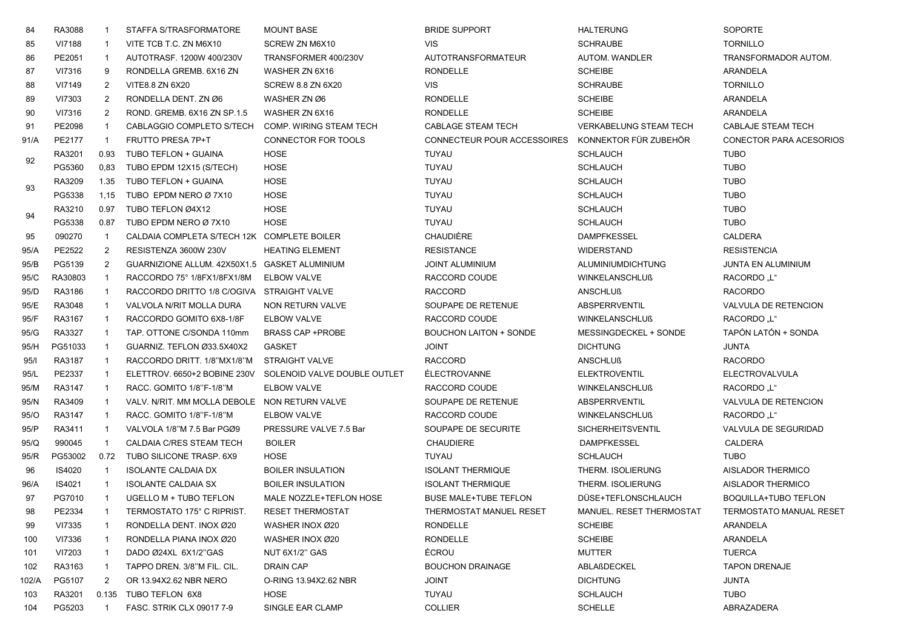| 84    | RA3088  |                | STAFFA S/TRASFORMATORE                        | <b>MOUNT BASE</b>            | <b>BRIDE SUPPORT</b>          | <b>HALTERUNG</b>              | <b>SOPORTE</b>                 |
|-------|---------|----------------|-----------------------------------------------|------------------------------|-------------------------------|-------------------------------|--------------------------------|
| 85    | VI7188  | -1             | VITE TCB T.C. ZN M6X10                        | SCREW ZN M6X10               | <b>VIS</b>                    | <b>SCHRAUBE</b>               | <b>TORNILLO</b>                |
| 86    | PE2051  |                | AUTOTRASF, 1200W 400/230V                     | TRANSFORMER 400/230V         | AUTOTRANSFORMATEUR            | <b>AUTOM. WANDLER</b>         | <b>TRANSFORMADOR AUTOM.</b>    |
| 87    | VI7316  | 9              | RONDELLA GREMB. 6X16 ZN                       | WASHER ZN 6X16               | <b>RONDELLE</b>               | <b>SCHEIBE</b>                | ARANDELA                       |
| 88    | VI7149  | $\overline{2}$ | VITE8.8 ZN 6X20                               | <b>SCREW 8.8 ZN 6X20</b>     | <b>VIS</b>                    | <b>SCHRAUBE</b>               | <b>TORNILLO</b>                |
| 89    | VI7303  | 2              | RONDELLA DENT. ZN Ø6                          | WASHER ZN Ø6                 | <b>RONDELLE</b>               | <b>SCHEIBE</b>                | ARANDELA                       |
| 90    | VI7316  | 2              | ROND. GREMB. 6X16 ZN SP.1.5                   | WASHER ZN 6X16               | <b>RONDELLE</b>               | <b>SCHEIBE</b>                | ARANDELA                       |
| 91    | PE2098  | -1             | CABLAGGIO COMPLETO S/TECH                     | COMP. WIRING STEAM TECH      | CABLAGE STEAM TECH            | <b>VERKABELUNG STEAM TECH</b> | CABLAJE STEAM TECH             |
| 91/A  | PE2177  | $\overline{1}$ | <b>FRUTTO PRESA 7P+T</b>                      | CONNECTOR FOR TOOLS          | CONNECTEUR POUR ACCESSOIRES   | KONNEKTOR FÜR ZUBEHÖR         | CONECTOR PARA ACESORIOS        |
| 92    | RA3201  | 0.93           | TUBO TEFLON + GUAINA                          | HOSE                         | TUYAU                         | <b>SCHLAUCH</b>               | <b>TUBO</b>                    |
|       | PG5360  | 0,83           | TUBO EPDM 12X15 (S/TECH)                      | <b>HOSE</b>                  | TUYAU                         | <b>SCHLAUCH</b>               | <b>TUBO</b>                    |
| 93    | RA3209  | 1.35           | TUBO TEFLON + GUAINA                          | HOSE                         | TUYAU                         | <b>SCHLAUCH</b>               | <b>TUBO</b>                    |
|       | PG5338  | 1,15           | TUBO EPDM NERO Ø 7X10                         | <b>HOSE</b>                  | TUYAU                         | <b>SCHLAUCH</b>               | <b>TUBO</b>                    |
| 94    | RA3210  | 0.97           | TUBO TEFLON Ø4X12                             | <b>HOSE</b>                  | TUYAU                         | <b>SCHLAUCH</b>               | <b>TUBO</b>                    |
|       | PG5338  | 0.87           | TUBO EPDM NERO Ø 7X10                         | <b>HOSE</b>                  | TUYAU                         | <b>SCHLAUCH</b>               | <b>TUBO</b>                    |
| 95    | 090270  | $\overline{1}$ | CALDAIA COMPLETA S/TECH 12K COMPLETE BOILER   |                              | CHAUDIÈRE                     | <b>DAMPFKESSEL</b>            | <b>CALDERA</b>                 |
| 95/A  | PE2522  | $\overline{2}$ | RESISTENZA 3600W 230V                         | <b>HEATING ELEMENT</b>       | <b>RESISTANCE</b>             | <b>WIDERSTAND</b>             | <b>RESISTENCIA</b>             |
| 95/B  | PG5139  | 2              | GUARNIZIONE ALLUM. 42X50X1.5 GASKET ALUMINIUM |                              | <b>JOINT ALUMINIUM</b>        | <b>ALUMINIUMDICHTUNG</b>      | JUNTA EN ALUMINIUM             |
| 95/C  | RA30803 |                | RACCORDO 75° 1/8FX1/8FX1/8M                   | <b>ELBOW VALVE</b>           | RACCORD COUDE                 | <b>WINKELANSCHLUß</b>         | RACORDO "L"                    |
| 95/D  | RA3186  |                | RACCORDO DRITTO 1/8 C/OGIVA                   | STRAIGHT VALVE               | <b>RACCORD</b>                | <b>ANSCHLUß</b>               | <b>RACORDO</b>                 |
| 95/E  | RA3048  | -1             | VALVOLA N/RIT MOLLA DURA                      | NON RETURN VALVE             | SOUPAPE DE RETENUE            | <b>ABSPERRVENTIL</b>          | <b>VALVULA DE RETENCION</b>    |
| 95/F  | RA3167  | -1             | RACCORDO GOMITO 6X8-1/8F                      | <b>ELBOW VALVE</b>           | RACCORD COUDE                 | <b>WINKELANSCHLUß</b>         | RACORDO "L"                    |
| 95/G  | RA3327  | $\overline{1}$ | TAP. OTTONE C/SONDA 110mm                     | <b>BRASS CAP +PROBE</b>      | <b>BOUCHON LAITON + SONDE</b> | MESSINGDECKEL + SONDE         | TAPÓN LATÓN + SONDA            |
| 95/H  | PG51033 | -1             | GUARNIZ. TEFLON Ø33.5X40X2                    | <b>GASKET</b>                | <b>JOINT</b>                  | <b>DICHTUNG</b>               | JUNTA                          |
| 95/1  | RA3187  |                | RACCORDO DRITT. 1/8"MX1/8"M                   | <b>STRAIGHT VALVE</b>        | <b>RACCORD</b>                | <b>ANSCHLUß</b>               | <b>RACORDO</b>                 |
| 95/L  | PE2337  | -1             | ELETTROV. 6650+2 BOBINE 230V                  | SOLENOID VALVE DOUBLE OUTLET | <b>ÉLECTROVANNE</b>           | <b>ELEKTROVENTIL</b>          | <b>ELECTROVALVULA</b>          |
| 95/M  | RA3147  |                | RACC. GOMITO 1/8"F-1/8"M                      | <b>ELBOW VALVE</b>           | RACCORD COUDE                 | <b>WINKELANSCHLUß</b>         | RACORDO "L"                    |
| 95/N  | RA3409  |                | VALV. N/RIT. MM MOLLA DEBOLE                  | NON RETURN VALVE             | SOUPAPE DE RETENUE            | ABSPERRVENTIL                 | VALVULA DE RETENCION           |
| 95/O  | RA3147  | -1             | RACC. GOMITO 1/8"F-1/8"M                      | <b>ELBOW VALVE</b>           | RACCORD COUDE                 | <b>WINKELANSCHLUß</b>         | <b>RACORDO</b> "L"             |
| 95/P  | RA3411  | $\mathbf{1}$   | VALVOLA 1/8"M 7.5 Bar PGØ9                    | PRESSURE VALVE 7.5 Bar       | SOUPAPE DE SECURITE           | <b>SICHERHEITSVENTIL</b>      | VALVULA DE SEGURIDAD           |
| 95/Q  | 990045  | $\overline{1}$ | CALDAIA C/RES STEAM TECH                      | <b>BOILER</b>                | <b>CHAUDIERE</b>              | <b>DAMPFKESSEL</b>            | CALDERA                        |
| 95/R  | PG53002 | 0.72           | TUBO SILICONE TRASP, 6X9                      | <b>HOSE</b>                  | TUYAU                         | <b>SCHLAUCH</b>               | <b>TUBO</b>                    |
| 96    | IS4020  | $\overline{1}$ | <b>ISOLANTE CALDAIA DX</b>                    | <b>BOILER INSULATION</b>     | <b>ISOLANT THERMIQUE</b>      | THERM. ISOLIERUNG             | <b>AISLADOR THERMICO</b>       |
| 96/A  | IS4021  | $\overline{1}$ | <b>ISOLANTE CALDAIA SX</b>                    | <b>BOILER INSULATION</b>     | <b>ISOLANT THERMIQUE</b>      | THERM. ISOLIERUNG             | <b>AISLADOR THERMICO</b>       |
| 97    | PG7010  |                | UGELLO M + TUBO TEFLON                        | MALE NOZZLE+TEFLON HOSE      | <b>BUSE MALE+TUBE TEFLON</b>  | DÜSE+TEFLONSCHLAUCH           | <b>BOQUILLA+TUBO TEFLON</b>    |
| 98    | PE2334  |                | TERMOSTATO 175° C RIPRIST.                    | <b>RESET THERMOSTAT</b>      | THERMOSTAT MANUEL RESET       | MANUEL. RESET THERMOSTAT      | <b>TERMOSTATO MANUAL RESET</b> |
| 99    | VI7335  |                | RONDELLA DENT. INOX Ø20                       | WASHER INOX Ø20              | <b>RONDELLE</b>               | <b>SCHEIBE</b>                | ARANDELA                       |
| 100   | VI7336  | -1             | RONDELLA PIANA INOX Ø20                       | WASHER INOX Ø20              | <b>RONDELLE</b>               | <b>SCHEIBE</b>                | <b>ARANDELA</b>                |
| 101   | VI7203  | -1             | DADO Ø24XL 6X1/2"GAS                          | NUT 6X1/2" GAS               | ÉCROU                         | MUTTER                        | <b>TUERCA</b>                  |
| 102   | RA3163  | $\overline{1}$ | TAPPO DREN. 3/8"M FIL. CIL.                   | DRAIN CAP                    | <b>BOUCHON DRAINAGE</b>       | ABLAßDECKEL                   | <b>TAPON DRENAJE</b>           |
| 102/A | PG5107  | 2              | OR 13.94X2.62 NBR NERO                        | O-RING 13.94X2.62 NBR        | JOINT                         | <b>DICHTUNG</b>               | JUNTA                          |
| 103   | RA3201  |                | 0.135 TUBO TEFLON 6X8                         | HOSE                         | TUYAU                         | <b>SCHLAUCH</b>               | <b>TUBO</b>                    |
| 104   | PG5203  |                | FASC. STRIK CLX 09017 7-9                     | SINGLE EAR CLAMP             | <b>COLLIER</b>                | <b>SCHELLE</b>                | ABRAZADERA                     |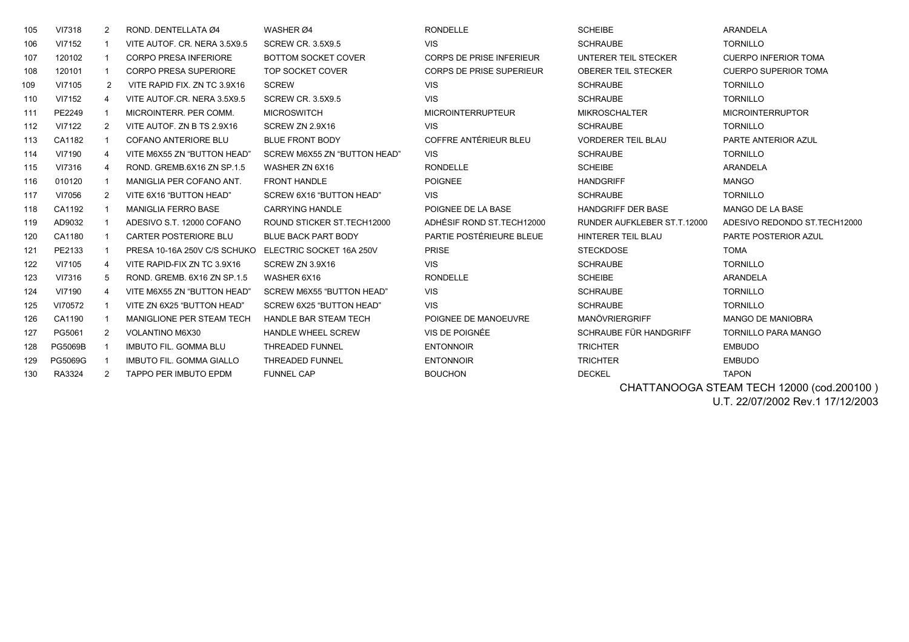| 105 | VI7318         | 2              | ROND. DENTELLATA Ø4             | WASHER Ø4                    | <b>RONDELLE</b>                 | <b>SCHEIBE</b>              | <b>ARANDELA</b>               |
|-----|----------------|----------------|---------------------------------|------------------------------|---------------------------------|-----------------------------|-------------------------------|
| 106 | VI7152         |                | VITE AUTOF, CR. NERA 3.5X9.5    | <b>SCREW CR. 3.5X9.5</b>     | <b>VIS</b>                      | <b>SCHRAUBE</b>             | <b>TORNILLO</b>               |
| 107 | 120102         |                | <b>CORPO PRESA INFERIORE</b>    | <b>BOTTOM SOCKET COVER</b>   | <b>CORPS DE PRISE INFERIEUR</b> | UNTERER TEIL STECKER        | <b>CUERPO INFERIOR TOMA</b>   |
| 108 | 120101         |                | <b>CORPO PRESA SUPERIORE</b>    | TOP SOCKET COVER             | <b>CORPS DE PRISE SUPERIEUR</b> | <b>OBERER TEIL STECKER</b>  | <b>CUERPO SUPERIOR TOMA</b>   |
| 109 | VI7105         | 2              | VITE RAPID FIX. ZN TC 3.9X16    | <b>SCREW</b>                 | <b>VIS</b>                      | <b>SCHRAUBE</b>             | <b>TORNILLO</b>               |
| 110 | VI7152         | 4              | VITE AUTOF.CR. NERA 3.5X9.5     | <b>SCREW CR. 3.5X9.5</b>     | <b>VIS</b>                      | <b>SCHRAUBE</b>             | <b>TORNILLO</b>               |
| 111 | PE2249         |                | MICROINTERR. PER COMM.          | <b>MICROSWITCH</b>           | <b>MICROINTERRUPTEUR</b>        | <b>MIKROSCHALTER</b>        | <b>MICROINTERRUPTOR</b>       |
| 112 | VI7122         | 2              | VITE AUTOF. ZN B TS 2.9X16      | SCREW ZN 2.9X16              | <b>VIS</b>                      | <b>SCHRAUBE</b>             | <b>TORNILLO</b>               |
| 113 | CA1182         |                | <b>COFANO ANTERIORE BLU</b>     | <b>BLUE FRONT BODY</b>       | COFFRE ANTÉRIEUR BLEU           | <b>VORDERER TEIL BLAU</b>   | PARTE ANTERIOR AZUL           |
| 114 | VI7190         | 4              | VITE M6X55 ZN "BUTTON HEAD"     | SCREW M6X55 ZN "BUTTON HEAD" | <b>VIS</b>                      | <b>SCHRAUBE</b>             | <b>TORNILLO</b>               |
| 115 | VI7316         | 4              | ROND. GREMB.6X16 ZN SP.1.5      | WASHER ZN 6X16               | <b>RONDELLE</b>                 | <b>SCHEIBE</b>              | ARANDELA                      |
| 116 | 010120         |                | MANIGLIA PER COFANO ANT.        | <b>FRONT HANDLE</b>          | <b>POIGNEE</b>                  | <b>HANDGRIFF</b>            | <b>MANGO</b>                  |
| 117 | VI7056         | 2              | VITE 6X16 "BUTTON HEAD"         | SCREW 6X16 "BUTTON HEAD"     | <b>VIS</b>                      | <b>SCHRAUBE</b>             | <b>TORNILLO</b>               |
| 118 | CA1192         |                | <b>MANIGLIA FERRO BASE</b>      | <b>CARRYING HANDLE</b>       | POIGNEE DE LA BASE              | <b>HANDGRIFF DER BASE</b>   | <b>MANGO DE LA BASE</b>       |
| 119 | AD9032         |                | ADESIVO S.T. 12000 COFANO       | ROUND STICKER ST. TECH12000  | ADHÉSIF ROND ST.TECH12000       | RUNDER AUFKLEBER ST.T.12000 | ADESIVO REDONDO ST. TECH12000 |
| 120 | CA1180         |                | <b>CARTER POSTERIORE BLU</b>    | <b>BLUE BACK PART BODY</b>   | PARTIE POSTÉRIEURE BLEUE        | HINTERER TEIL BLAU          | PARTE POSTERIOR AZUL          |
| 121 | PE2133         |                | PRESA 10-16A 250V C/S SCHUKO    | ELECTRIC SOCKET 16A 250V     | <b>PRISE</b>                    | <b>STECKDOSE</b>            | <b>TOMA</b>                   |
| 122 | VI7105         | 4              | VITE RAPID-FIX ZN TC 3.9X16     | SCREW ZN 3.9X16              | <b>VIS</b>                      | <b>SCHRAUBE</b>             | <b>TORNILLO</b>               |
| 123 | VI7316         | 5              | ROND, GREMB, 6X16 ZN SP.1.5     | WASHER 6X16                  | <b>RONDELLE</b>                 | <b>SCHEIBE</b>              | ARANDELA                      |
| 124 | VI7190         | 4              | VITE M6X55 ZN "BUTTON HEAD"     | SCREW M6X55 "BUTTON HEAD"    | <b>VIS</b>                      | <b>SCHRAUBE</b>             | <b>TORNILLO</b>               |
| 125 | VI70572        |                | VITE ZN 6X25 "BUTTON HEAD"      | SCREW 6X25 "BUTTON HEAD"     | <b>VIS</b>                      | <b>SCHRAUBE</b>             | <b>TORNILLO</b>               |
| 126 | CA1190         |                | MANIGLIONE PER STEAM TECH       | <b>HANDLE BAR STEAM TECH</b> | POIGNEE DE MANOEUVRE            | MANÖVRIERGRIFF              | <b>MANGO DE MANIOBRA</b>      |
| 127 | PG5061         | 2              | <b>VOLANTINO M6X30</b>          | <b>HANDLE WHEEL SCREW</b>    | VIS DE POIGNÉE                  | SCHRAUBE FÜR HANDGRIFF      | <b>TORNILLO PARA MANGO</b>    |
| 128 | <b>PG5069B</b> |                | <b>IMBUTO FIL. GOMMA BLU</b>    | <b>THREADED FUNNEL</b>       | <b>ENTONNOIR</b>                | <b>TRICHTER</b>             | <b>EMBUDO</b>                 |
| 129 | PG5069G        |                | <b>IMBUTO FIL. GOMMA GIALLO</b> | <b>THREADED FUNNEL</b>       | <b>ENTONNOIR</b>                | <b>TRICHTER</b>             | <b>EMBUDO</b>                 |
| 130 | RA3324         | $\overline{2}$ | TAPPO PER IMBUTO EPDM           | <b>FUNNEL CAP</b>            | <b>BOUCHON</b>                  | <b>DECKEL</b>               | <b>TAPON</b>                  |

 CHATTANOOGA STEAM TECH 12000 (cod.200100 ) U.T. 22/07/2002 Rev.1 17/12/2003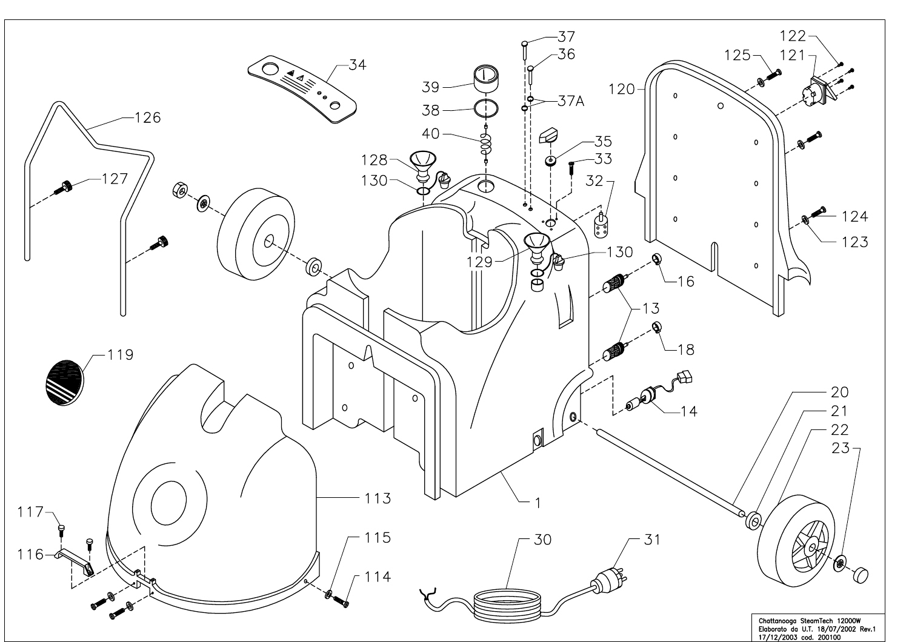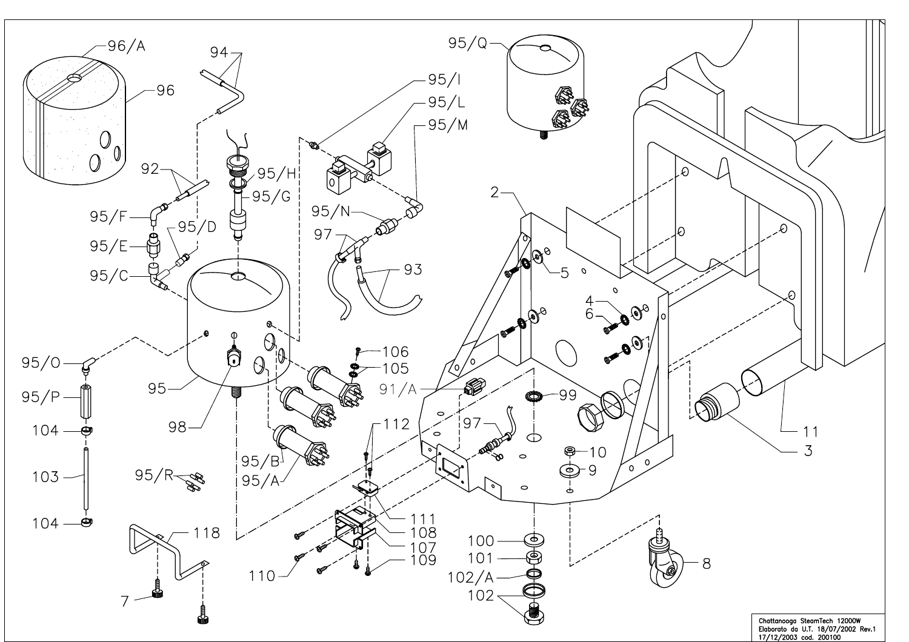